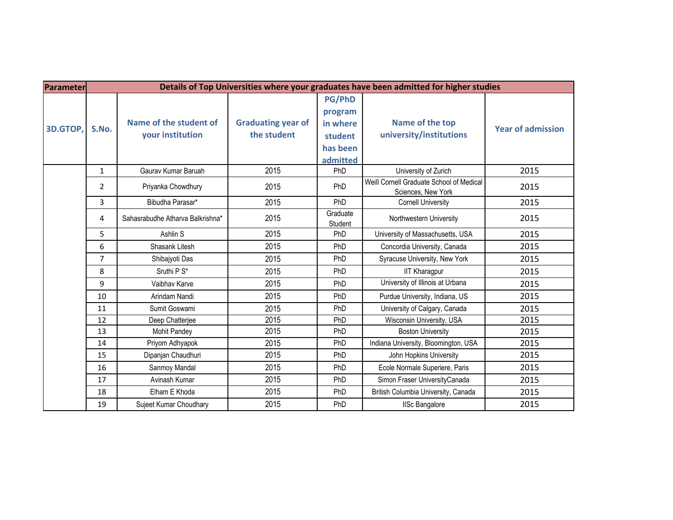| Parameter | Details of Top Universities where your graduates have been admitted for higher studies |                                            |                                          |                                                                         |                                                                |                          |
|-----------|----------------------------------------------------------------------------------------|--------------------------------------------|------------------------------------------|-------------------------------------------------------------------------|----------------------------------------------------------------|--------------------------|
| 3D.GTOP,  | S.No.                                                                                  | Name of the student of<br>your institution | <b>Graduating year of</b><br>the student | <b>PG/PhD</b><br>program<br>in where<br>student<br>has been<br>admitted | Name of the top<br>university/institutions                     | <b>Year of admission</b> |
|           | $\mathbf{1}$                                                                           | Gaurav Kumar Baruah                        | 2015                                     | PhD                                                                     | University of Zurich                                           | 2015                     |
|           | $\overline{2}$                                                                         | Priyanka Chowdhury                         | 2015                                     | PhD                                                                     | Weill Cornell Graduate School of Medical<br>Sciences, New York | 2015                     |
|           | 3                                                                                      | Bibudha Parasar*                           | 2015                                     | PhD                                                                     | <b>Cornell University</b>                                      | 2015                     |
|           | 4                                                                                      | Sahasrabudhe Atharva Balkrishna*           | 2015                                     | Graduate<br>Student                                                     | Northwestern University                                        | 2015                     |
|           | 5                                                                                      | Ashlin S                                   | 2015                                     | PhD                                                                     | University of Massachusetts, USA                               | 2015                     |
|           | 6                                                                                      | Shasank Litesh                             | 2015                                     | PhD                                                                     | Concordia University, Canada                                   | 2015                     |
|           | $\overline{7}$                                                                         | Shibajyoti Das                             | 2015                                     | PhD                                                                     | Syracuse University, New York                                  | 2015                     |
|           | 8                                                                                      | Sruthi P S*                                | 2015                                     | PhD                                                                     | <b>IIT Kharagpur</b>                                           | 2015                     |
|           | 9                                                                                      | Vaibhav Karve                              | 2015                                     | PhD                                                                     | University of Illinois at Urbana                               | 2015                     |
|           | 10                                                                                     | Arindam Nandi                              | 2015                                     | PhD                                                                     | Purdue University, Indiana, US                                 | 2015                     |
|           | 11                                                                                     | Sumit Goswami                              | 2015                                     | PhD                                                                     | University of Calgary, Canada                                  | 2015                     |
|           | 12                                                                                     | Deep Chatterjee                            | 2015                                     | PhD                                                                     | Wisconsin University, USA                                      | 2015                     |
|           | 13                                                                                     | Mohit Pandey                               | 2015                                     | PhD                                                                     | <b>Boston University</b>                                       | 2015                     |
|           | 14                                                                                     | Priyom Adhyapok                            | 2015                                     | PhD                                                                     | Indiana University, Bloomington, USA                           | 2015                     |
|           | 15                                                                                     | Dipanjan Chaudhuri                         | 2015                                     | PhD                                                                     | John Hopkins University                                        | 2015                     |
|           | 16                                                                                     | Sanmoy Mandal                              | 2015                                     | PhD                                                                     | Ecole Normale Superiere, Paris                                 | 2015                     |
|           | 17                                                                                     | Avinash Kumar                              | 2015                                     | PhD                                                                     | Simon Fraser UniversityCanada                                  | 2015                     |
|           | 18                                                                                     | Elham E Khoda                              | 2015                                     | PhD                                                                     | British Columbia University, Canada                            | 2015                     |
|           | 19                                                                                     | Sujeet Kumar Choudhary                     | 2015                                     | PhD                                                                     | <b>IISc Bangalore</b>                                          | 2015                     |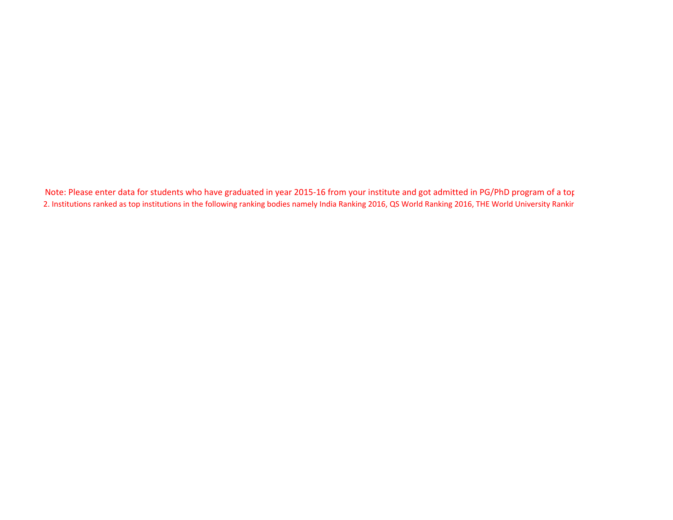Note: Please enter data for students who have graduated in year 2015-16 from your institute and got admitted in PG/PhD program of a top 2. Institutions ranked as top institutions in the following ranking bodies namely India Ranking 2016, QS World Ranking 2016, THE World University Ranking 2016.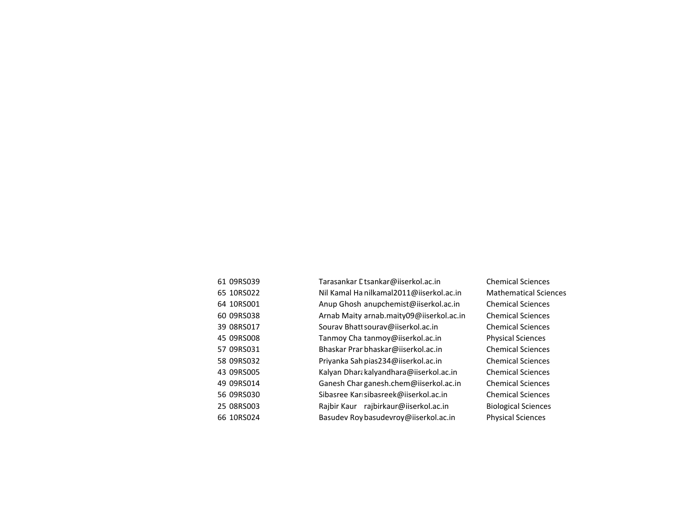| 61 09RS039 | Tarasankar Etsankar@iiserkol.ac.in       | Cl |
|------------|------------------------------------------|----|
| 65 10RS022 | Nil Kamal Ha nilkamal2011@iiserkol.ac.in | M  |
| 64 10RS001 | Anup Ghosh anupchemist@iiserkol.ac.in    | C  |
| 60 09RS038 | Arnab Maity arnab.maity09@iiserkol.ac.in | C  |
| 39 08RS017 | Sourav Bhatt sourav@iiserkol.ac.in       | Cl |
| 45 09RS008 | Tanmoy Cha tanmoy@iiserkol.ac.in         | P  |
| 57 09RS031 | Bhaskar Prar bhaskar@iiserkol.ac.in      | C  |
| 58 09RS032 | Priyanka Sah pias234@iiserkol.ac.in      | C  |
| 43 09RS005 | Kalyan Dhara kalyandhara@iiserkol.ac.in  | C  |
| 49 09RS014 | Ganesh Char ganesh.chem@iiserkol.ac.in   | C  |
| 56 09RS030 | Sibasree Kar sibasreek@iiserkol.ac.in    | C  |
| 25 08RS003 | Rajbir Kaur rajbirkaur@iiserkol.ac.in    | Bi |
| 66 10RS024 | Basudev Roy basudevroy@iiserkol.ac.in    | P  |

hemical Sciences<sup>.</sup> Aathematical Sciences hemical Sciences<sup>.</sup> hemical Sciences<sup>.</sup> hemical Sciences<sup>.</sup> hysical Sciences<sup>,</sup> hemical Sciences<sup>.</sup> hemical Sciences<sup>.</sup> hemical Sciences<sup>.</sup> hemical Sciences<sup>.</sup> hemical Sciences<sup>.</sup> Biological Sciences hysical Sciences<sup>,</sup>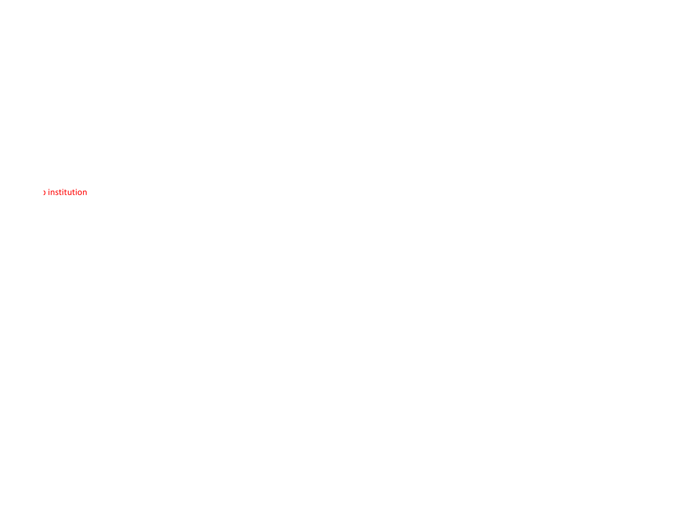Note: Please enter data for students who have graduated in year 2015-16 from your institute and got admitted in PG/PhD program of a top institution